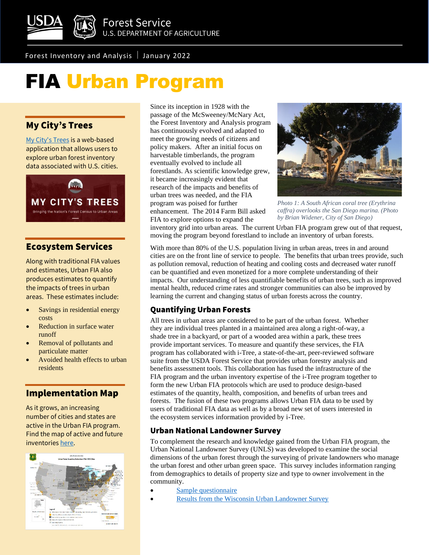

Forest Inventory and Analysis January 2022

# FIA Urban Program

# My City's Trees

[My City's Trees](https://mct.tfs.tamu.edu/) is a web-based application that allows users to explore urban forest inventory data associated with U.S. cities.



## Ecosystem Services

Along with traditional FIA values and estimates, Urban FIA also produces estimates to quantify the impacts of trees in urban areas. These estimates include:

- Savings in residential energy costs
- Reduction in surface water runoff
- Removal of pollutants and particulate matter
- Avoided health effects to urban residents

## Implementation Map

As it grows, an increasing number of cities and states are active in the Urban FIA program. Find the map of active and future inventories [here.](https://www.fia.fs.fed.us/program-features/urban/docs/UFIA_cities_combo_map.pdf)



Since its inception in 1928 with the passage of the McSweeney/McNary Act, the Forest Inventory and Analysis program has continuously evolved and adapted to meet the growing needs of citizens and policy makers. After an initial focus on harvestable timberlands, the program eventually evolved to include all forestlands. As scientific knowledge grew, it became increasingly evident that research of the impacts and benefits of urban trees was needed, and the FIA program was poised for further enhancement. The 2014 Farm Bill asked FIA to explore options to expand the



*Photo 1: A South African coral tree (Erythrina caffra) overlooks the San Diego marina. (Photo by Brian Widener, City of San Diego)*

inventory grid into urban areas. The current Urban FIA program grew out of that request, moving the program beyond forestland to include an inventory of urban forests.

With more than 80% of the U.S. population living in urban areas, trees in and around cities are on the front line of service to people. The benefits that urban trees provide, such as pollution removal, reduction of heating and cooling costs and decreased water runoff can be quantified and even monetized for a more complete understanding of their impacts. Our understanding of less quantifiable benefits of urban trees, such as improved mental health, reduced crime rates and stronger communities can also be improved by learning the current and changing status of urban forests across the country.

## Quantifying Urban Forests

All trees in urban areas are considered to be part of the urban forest. Whether they are individual trees planted in a maintained area along a right-of-way, a shade tree in a backyard, or part of a wooded area within a park, these trees provide important services. To measure and quantify these services, the FIA program has collaborated with i-Tree, a state-of-the-art, peer-reviewed software suite from the USDA Forest Service that provides urban forestry analysis and benefits assessment tools. This collaboration has fused the infrastructure of the FIA program and the urban inventory expertise of the i-Tree program together to form the new Urban FIA protocols which are used to produce design-based estimates of the quantity, health, composition, and benefits of urban trees and forests. The fusion of these two programs allows Urban FIA data to be used by users of traditional FIA data as well as by a broad new set of users interested in the ecosystem services information provided by i-Tree.

## Urban National Landowner Survey

To complement the research and knowledge gained from the Urban FIA program, the Urban National Landowner Survey (UNLS) was developed to examine the social dimensions of the urban forest through the surveying of private landowners who manage the urban forest and other urban green space. This survey includes information ranging from demographics to details of property size and type to owner involvement in the community.

- [Sample questionnaire](https://www.fia.fs.fed.us/program-features/urban/docs/NWOS%207.pdf)
- Results from the Wisconsin Urban Landowner Survey